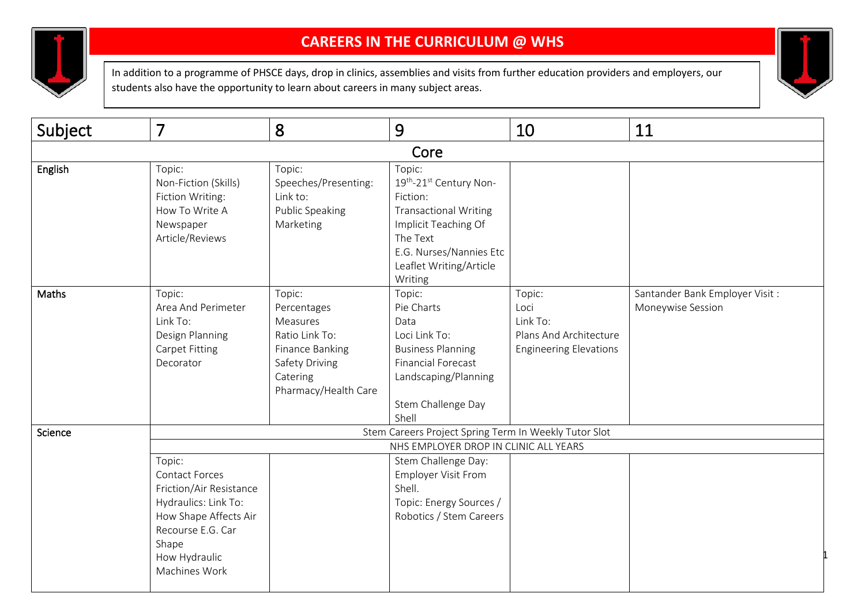

## **CAREERS IN THE CURRICULUM @ WHS**

In addition to a programme of PHSCE days, drop in clinics, assemblies and visits from further education providers and employers, our students also have the opportunity to learn about careers in many subject areas.



| Subject | $\overline{7}$                                                                                                                                                       | 8                                                                                                                            | 9                                                                                                                                                                                 | 10                                                                                    | 11                                                  |  |  |
|---------|----------------------------------------------------------------------------------------------------------------------------------------------------------------------|------------------------------------------------------------------------------------------------------------------------------|-----------------------------------------------------------------------------------------------------------------------------------------------------------------------------------|---------------------------------------------------------------------------------------|-----------------------------------------------------|--|--|
|         |                                                                                                                                                                      |                                                                                                                              | Core                                                                                                                                                                              |                                                                                       |                                                     |  |  |
| English | Topic:<br>Non-Fiction (Skills)<br>Fiction Writing:<br>How To Write A<br>Newspaper<br>Article/Reviews                                                                 | Topic:<br>Speeches/Presenting:<br>Link to:<br>Public Speaking<br>Marketing                                                   | Topic:<br>19th-21st Century Non-<br>Fiction:<br><b>Transactional Writing</b><br>Implicit Teaching Of<br>The Text<br>E.G. Nurses/Nannies Etc<br>Leaflet Writing/Article<br>Writing |                                                                                       |                                                     |  |  |
| Maths   | Topic:<br>Area And Perimeter<br>Link To:<br>Design Planning<br><b>Carpet Fitting</b><br>Decorator                                                                    | Topic:<br>Percentages<br>Measures<br>Ratio Link To:<br>Finance Banking<br>Safety Driving<br>Catering<br>Pharmacy/Health Care | Topic:<br>Pie Charts<br>Data<br>Loci Link To:<br><b>Business Planning</b><br><b>Financial Forecast</b><br>Landscaping/Planning<br>Stem Challenge Day<br>Shell                     | Topic:<br>Loci<br>Link To:<br>Plans And Architecture<br><b>Engineering Elevations</b> | Santander Bank Employer Visit:<br>Moneywise Session |  |  |
| Science | Stem Careers Project Spring Term In Weekly Tutor Slot                                                                                                                |                                                                                                                              |                                                                                                                                                                                   |                                                                                       |                                                     |  |  |
|         | Topic:<br>Contact Forces<br>Friction/Air Resistance<br>Hydraulics: Link To:<br>How Shape Affects Air<br>Recourse E.G. Car<br>Shape<br>How Hydraulic<br>Machines Work |                                                                                                                              | NHS EMPLOYER DROP IN CLINIC ALL YEARS<br>Stem Challenge Day:<br><b>Employer Visit From</b><br>Shell.<br>Topic: Energy Sources /<br>Robotics / Stem Careers                        |                                                                                       |                                                     |  |  |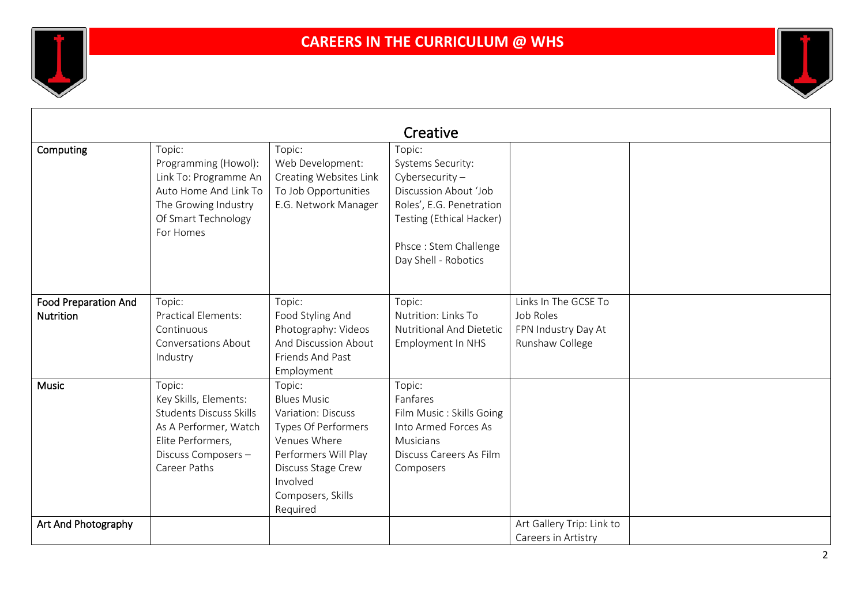

| Creative                                        |                                                                                                                                                        |                                                                                                                                                                                             |                                                                                                                                                                                    |                                                                             |  |  |
|-------------------------------------------------|--------------------------------------------------------------------------------------------------------------------------------------------------------|---------------------------------------------------------------------------------------------------------------------------------------------------------------------------------------------|------------------------------------------------------------------------------------------------------------------------------------------------------------------------------------|-----------------------------------------------------------------------------|--|--|
| Computing                                       | Topic:<br>Programming (Howol):<br>Link To: Programme An<br>Auto Home And Link To<br>The Growing Industry<br>Of Smart Technology<br>For Homes           | Topic:<br>Web Development:<br>Creating Websites Link<br>To Job Opportunities<br>E.G. Network Manager                                                                                        | Topic:<br>Systems Security:<br>Cybersecurity $-$<br>Discussion About 'Job<br>Roles', E.G. Penetration<br>Testing (Ethical Hacker)<br>Phsce: Stem Challenge<br>Day Shell - Robotics |                                                                             |  |  |
| <b>Food Preparation And</b><br><b>Nutrition</b> | Topic:<br><b>Practical Elements:</b><br>Continuous<br>Conversations About<br>Industry                                                                  | Topic:<br>Food Styling And<br>Photography: Videos<br>And Discussion About<br>Friends And Past<br>Employment                                                                                 | Topic:<br>Nutrition: Links To<br>Nutritional And Dietetic<br>Employment In NHS                                                                                                     | Links In The GCSE To<br>Job Roles<br>FPN Industry Day At<br>Runshaw College |  |  |
| <b>Music</b>                                    | Topic:<br>Key Skills, Elements:<br><b>Students Discuss Skills</b><br>As A Performer, Watch<br>Elite Performers,<br>Discuss Composers -<br>Career Paths | Topic:<br><b>Blues Music</b><br>Variation: Discuss<br><b>Types Of Performers</b><br>Venues Where<br>Performers Will Play<br>Discuss Stage Crew<br>Involved<br>Composers, Skills<br>Required | Topic:<br>Fanfares<br>Film Music: Skills Going<br>Into Armed Forces As<br><b>Musicians</b><br>Discuss Careers As Film<br>Composers                                                 |                                                                             |  |  |
| Art And Photography                             |                                                                                                                                                        |                                                                                                                                                                                             |                                                                                                                                                                                    | Art Gallery Trip: Link to<br>Careers in Artistry                            |  |  |

Щ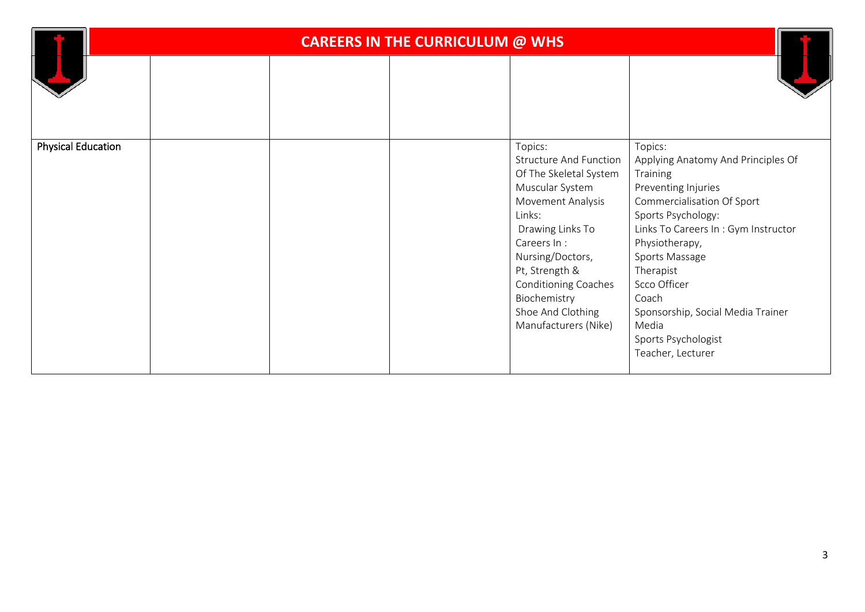|                           | <b>CAREERS IN THE CURRICULUM @ WHS</b> |  |  |                                                                                                                                                                                                                                                                                           |                                                                                                                                                                                                                                                                                                                                                 |  |
|---------------------------|----------------------------------------|--|--|-------------------------------------------------------------------------------------------------------------------------------------------------------------------------------------------------------------------------------------------------------------------------------------------|-------------------------------------------------------------------------------------------------------------------------------------------------------------------------------------------------------------------------------------------------------------------------------------------------------------------------------------------------|--|
|                           |                                        |  |  |                                                                                                                                                                                                                                                                                           |                                                                                                                                                                                                                                                                                                                                                 |  |
| <b>Physical Education</b> |                                        |  |  | Topics:<br><b>Structure And Function</b><br>Of The Skeletal System<br>Muscular System<br>Movement Analysis<br>Links:<br>Drawing Links To<br>Careers In:<br>Nursing/Doctors,<br>Pt, Strength &<br><b>Conditioning Coaches</b><br>Biochemistry<br>Shoe And Clothing<br>Manufacturers (Nike) | Topics:<br>Applying Anatomy And Principles Of<br>Training<br>Preventing Injuries<br>Commercialisation Of Sport<br>Sports Psychology:<br>Links To Careers In: Gym Instructor<br>Physiotherapy,<br>Sports Massage<br>Therapist<br>Scco Officer<br>Coach<br>Sponsorship, Social Media Trainer<br>Media<br>Sports Psychologist<br>Teacher, Lecturer |  |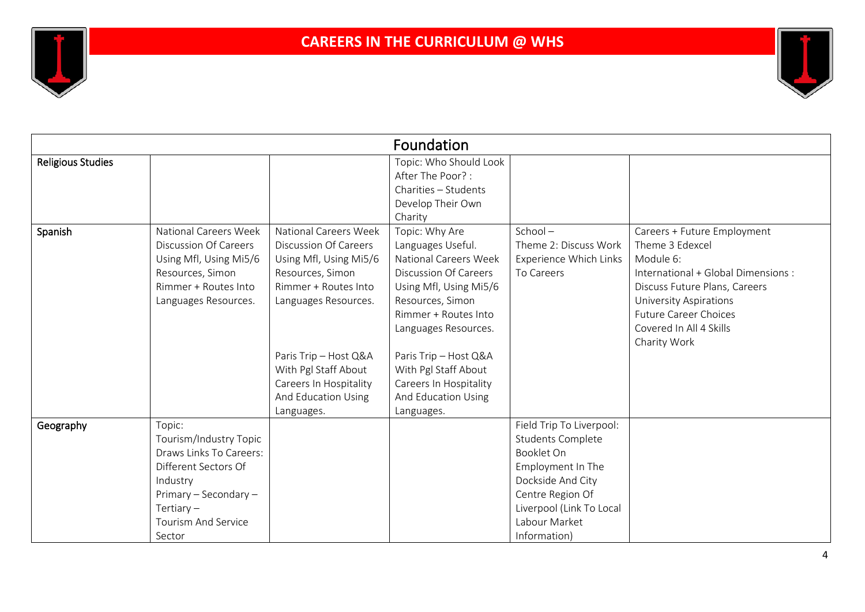

| Foundation               |                                                                                                                                                                                  |                                                                                                                                                                                                                                                                     |                                                                                                                                                                                                                                                                                                            |                                                                                                                                                                                               |                                                                                                                                                                                                                                                 |  |  |
|--------------------------|----------------------------------------------------------------------------------------------------------------------------------------------------------------------------------|---------------------------------------------------------------------------------------------------------------------------------------------------------------------------------------------------------------------------------------------------------------------|------------------------------------------------------------------------------------------------------------------------------------------------------------------------------------------------------------------------------------------------------------------------------------------------------------|-----------------------------------------------------------------------------------------------------------------------------------------------------------------------------------------------|-------------------------------------------------------------------------------------------------------------------------------------------------------------------------------------------------------------------------------------------------|--|--|
| <b>Religious Studies</b> |                                                                                                                                                                                  |                                                                                                                                                                                                                                                                     | Topic: Who Should Look<br>After The Poor?:<br>Charities - Students<br>Develop Their Own<br>Charity                                                                                                                                                                                                         |                                                                                                                                                                                               |                                                                                                                                                                                                                                                 |  |  |
| Spanish                  | <b>National Careers Week</b><br><b>Discussion Of Careers</b><br>Using Mfl, Using Mi5/6<br>Resources, Simon<br>Rimmer + Routes Into<br>Languages Resources.                       | <b>National Careers Week</b><br>Discussion Of Careers<br>Using Mfl, Using Mi5/6<br>Resources, Simon<br>Rimmer + Routes Into<br>Languages Resources.<br>Paris Trip - Host Q&A<br>With Pgl Staff About<br>Careers In Hospitality<br>And Education Using<br>Languages. | Topic: Why Are<br>Languages Useful.<br>National Careers Week<br><b>Discussion Of Careers</b><br>Using Mfl, Using Mi5/6<br>Resources, Simon<br>Rimmer + Routes Into<br>Languages Resources.<br>Paris Trip - Host Q&A<br>With Pgl Staff About<br>Careers In Hospitality<br>And Education Using<br>Languages. | $School -$<br>Theme 2: Discuss Work<br>Experience Which Links<br>To Careers                                                                                                                   | Careers + Future Employment<br>Theme 3 Edexcel<br>Module 6:<br>International + Global Dimensions :<br>Discuss Future Plans, Careers<br><b>University Aspirations</b><br><b>Future Career Choices</b><br>Covered In All 4 Skills<br>Charity Work |  |  |
| Geography                | Topic:<br>Tourism/Industry Topic<br>Draws Links To Careers:<br>Different Sectors Of<br>Industry<br>Primary - Secondary -<br>Tertiary $-$<br><b>Tourism And Service</b><br>Sector |                                                                                                                                                                                                                                                                     |                                                                                                                                                                                                                                                                                                            | Field Trip To Liverpool:<br><b>Students Complete</b><br>Booklet On<br>Employment In The<br>Dockside And City<br>Centre Region Of<br>Liverpool (Link To Local<br>Labour Market<br>Information) |                                                                                                                                                                                                                                                 |  |  |

 $\mathbf{I}$